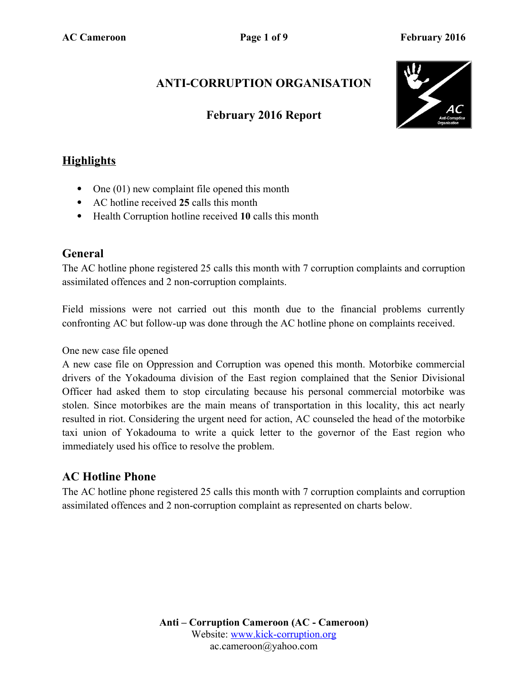# **ANTI-CORRUPTION ORGANISATION**

## **February 2016 Report**



## **Highlights**

- One (01) new complaint file opened this month
- AC hotline received **25** calls this month
- Health Corruption hotline received **10** calls this month

#### **General**

The AC hotline phone registered 25 calls this month with 7 corruption complaints and corruption assimilated offences and 2 non-corruption complaints.

Field missions were not carried out this month due to the financial problems currently confronting AC but follow-up was done through the AC hotline phone on complaints received.

#### One new case file opened

A new case file on Oppression and Corruption was opened this month. Motorbike commercial drivers of the Yokadouma division of the East region complained that the Senior Divisional Officer had asked them to stop circulating because his personal commercial motorbike was stolen. Since motorbikes are the main means of transportation in this locality, this act nearly resulted in riot. Considering the urgent need for action, AC counseled the head of the motorbike taxi union of Yokadouma to write a quick letter to the governor of the East region who immediately used his office to resolve the problem.

#### **AC Hotline Phone**

The AC hotline phone registered 25 calls this month with 7 corruption complaints and corruption assimilated offences and 2 non-corruption complaint as represented on charts below.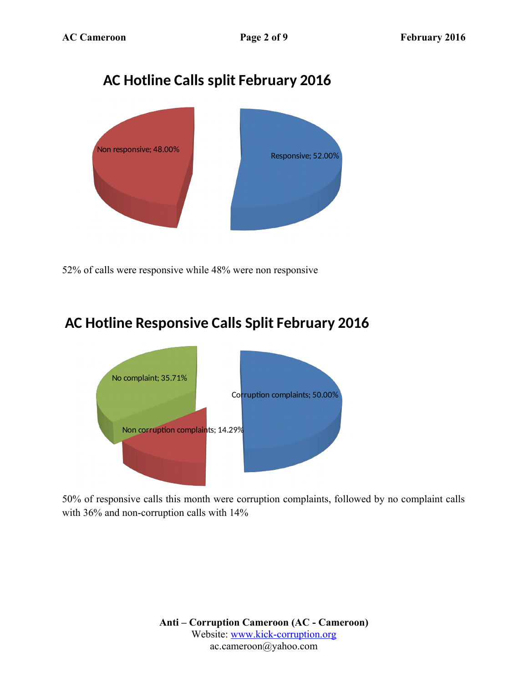

52% of calls were responsive while 48% were non responsive

# **AC Hotline Responsive Calls Split February 2016**



50% of responsive calls this month were corruption complaints, followed by no complaint calls with 36% and non-corruption calls with 14%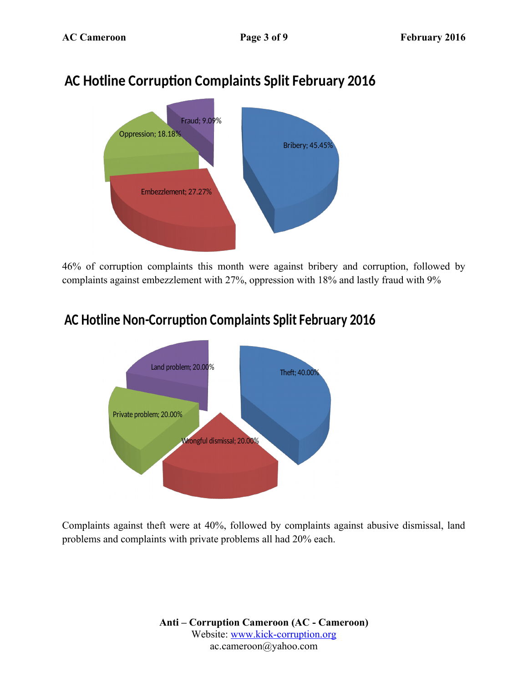# **AC Hotline Corruption Complaints Split February 2016**



46% of corruption complaints this month were against bribery and corruption, followed by complaints against embezzlement with 27%, oppression with 18% and lastly fraud with 9%

# **AC Hotline Non-Corruption Complaints Split February 2016**



Complaints against theft were at 40%, followed by complaints against abusive dismissal, land problems and complaints with private problems all had 20% each.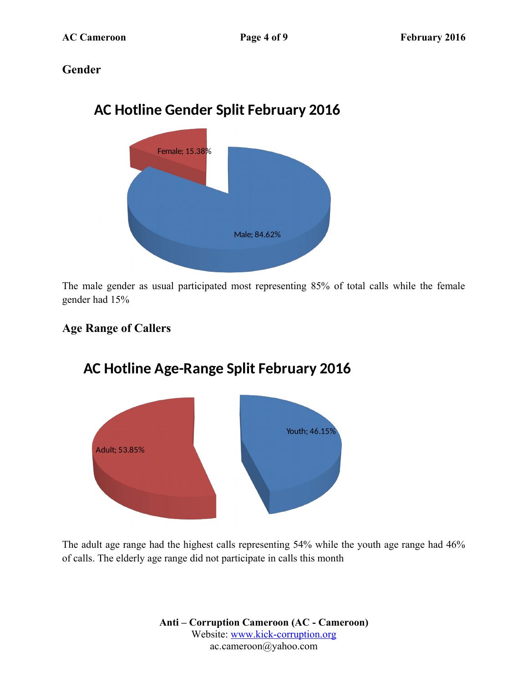## **Gender**



The male gender as usual participated most representing 85% of total calls while the female gender had 15%

## **Age Range of Callers**



# **AC Hotline Age-Range Split February 2016**

The adult age range had the highest calls representing 54% while the youth age range had 46% of calls. The elderly age range did not participate in calls this month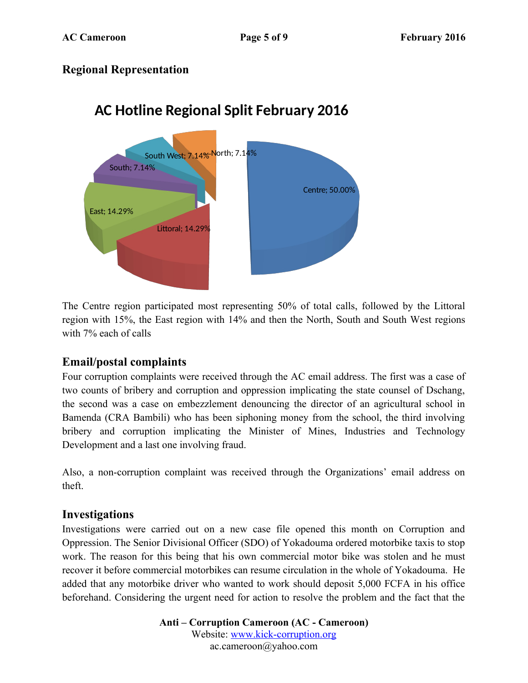### **Regional Representation**



# **AC Hotline Regional Split February 2016**

The Centre region participated most representing 50% of total calls, followed by the Littoral region with 15%, the East region with 14% and then the North, South and South West regions with 7% each of calls

## **Email/postal complaints**

Four corruption complaints were received through the AC email address. The first was a case of two counts of bribery and corruption and oppression implicating the state counsel of Dschang, the second was a case on embezzlement denouncing the director of an agricultural school in Bamenda (CRA Bambili) who has been siphoning money from the school, the third involving bribery and corruption implicating the Minister of Mines, Industries and Technology Development and a last one involving fraud.

Also, a non-corruption complaint was received through the Organizations' email address on theft.

#### **Investigations**

Investigations were carried out on a new case file opened this month on Corruption and Oppression. The Senior Divisional Officer (SDO) of Yokadouma ordered motorbike taxis to stop work. The reason for this being that his own commercial motor bike was stolen and he must recover it before commercial motorbikes can resume circulation in the whole of Yokadouma. He added that any motorbike driver who wanted to work should deposit 5,000 FCFA in his office beforehand. Considering the urgent need for action to resolve the problem and the fact that the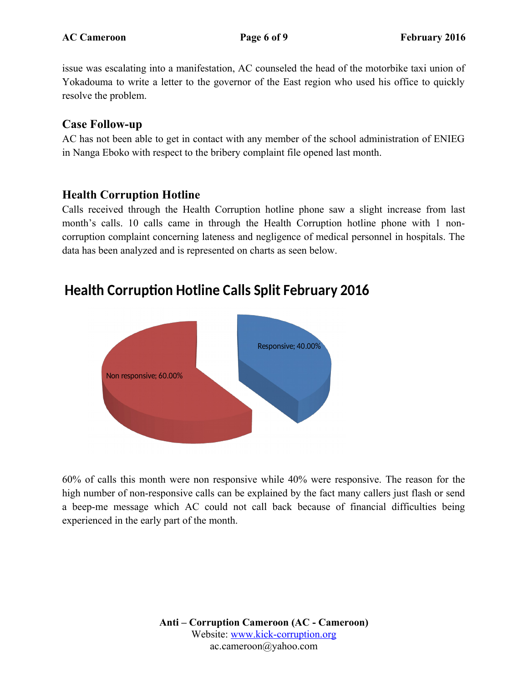issue was escalating into a manifestation, AC counseled the head of the motorbike taxi union of Yokadouma to write a letter to the governor of the East region who used his office to quickly resolve the problem.

### **Case Follow-up**

AC has not been able to get in contact with any member of the school administration of ENIEG in Nanga Eboko with respect to the bribery complaint file opened last month.

## **Health Corruption Hotline**

Calls received through the Health Corruption hotline phone saw a slight increase from last month's calls. 10 calls came in through the Health Corruption hotline phone with 1 noncorruption complaint concerning lateness and negligence of medical personnel in hospitals. The data has been analyzed and is represented on charts as seen below.

# Responsive; 40.00% Non responsive; 60.00%

# **Health Corruption Hotline Calls Split February 2016**

60% of calls this month were non responsive while 40% were responsive. The reason for the high number of non-responsive calls can be explained by the fact many callers just flash or send a beep-me message which AC could not call back because of financial difficulties being experienced in the early part of the month.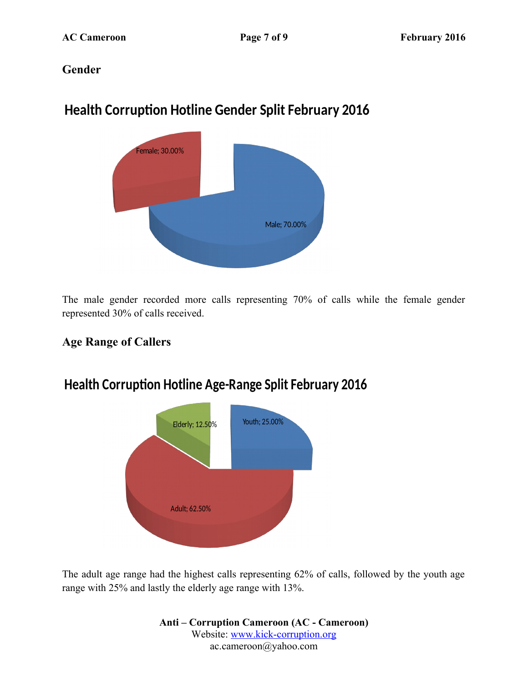## **Gender**

# **Health Corruption Hotline Gender Split February 2016**



The male gender recorded more calls representing 70% of calls while the female gender represented 30% of calls received.

## **Age Range of Callers**



# **Health Corruption Hotline Age-Range Split February 2016**

The adult age range had the highest calls representing 62% of calls, followed by the youth age range with 25% and lastly the elderly age range with 13%.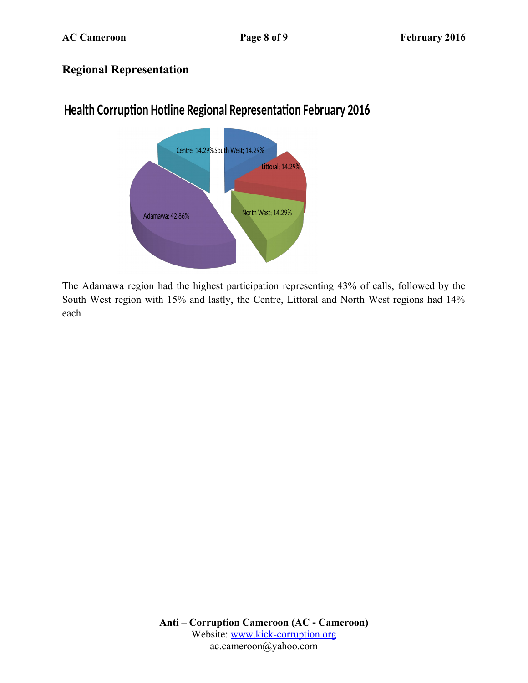## **Regional Representation**



# **Health Corruption Hotline Regional Representation February 2016**

The Adamawa region had the highest participation representing 43% of calls, followed by the South West region with 15% and lastly, the Centre, Littoral and North West regions had 14% each